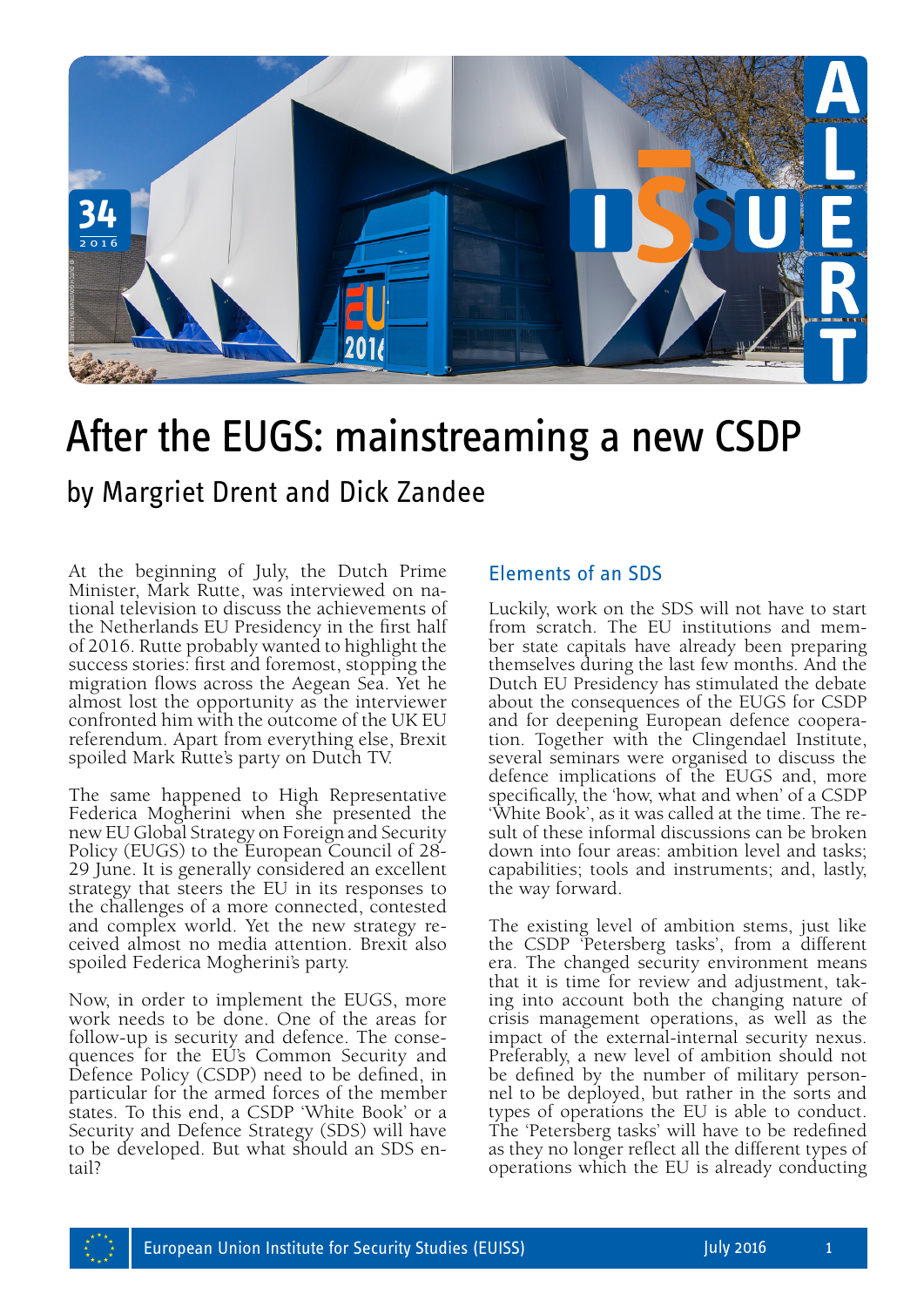

## After the EUGS: mainstreaming a new CSDP

At the beginning of July, the Dutch Prime Minister, Mark Rutte, was interviewed on na- tional television to discuss the achievements of the Netherlands EU Presidency in the first half of 2016. Rutte probably wanted to highlight the success stories: first and foremost, stopping the migration flows across the Aegean Sea. Yet he almost lost the opportunity as the interviewer confronted him with the outcome of the UK EU referendum. Apart from everything else, Brexit spoiled Mark Rutte's party on Dutch TV.

The same happened to High Representative Federica Mogherini when she presented the new EU Global Strategy on Foreign and Security Policy (EUGS) to the European Council of 28- 29 June. It is generally considered an excellent strategy that steers the EU in its responses to the challenges of a more connected, contested and complex world. Yet the new strategy re- ceived almost no media attention. Brexit also spoiled Federica Mogherini's party.

Now, in order to implement the EUGS, more work needs to be done. One of the areas for follow-up is security and defence. The conse- quences for the EU's Common Security and Defence Policy (CSDP) need to be defined, in particular for the armed forces of the member states. To this end, a CSDP 'White Book' or a Security and Defence Strategy (SDS) will have to be developed. But what should an SDS en- tail?

## Elements of an SDS

Luckily, work on the SDS will not have to start from scratch. The EU institutions and member state capitals have already been preparing themselves during the last few months. And the Dutch EU Presidency has stimulated the debate about the consequences of the EUGS for CSDP and for deepening European defence cooperation. Together with the Clingendael Institute, several seminars were organised to discuss the defence implications of the EUGS and, more specifically, the 'how, what and when' of a CSDP 'White Book', as it was called at the time. The result of these informal discussions can be broken down into four areas: ambition level and tasks; capabilities; tools and instruments; and, lastly, the way forward.

The existing level of ambition stems, just like the CSDP 'Petersberg tasks', from a different era. The changed security environment means that it is time for review and adjustment, taking into account both the changing nature of crisis management operations, as well as the impact of the external-internal security nexus. Preferably, a new level of ambition should not be defined by the number of military personnel to be deployed, but rather in the sorts and types of operations the EU is able to conduct. The 'Petersberg tasks' will have to be redefined as they no longer reflect all the different types of operations which the EU is already conducting